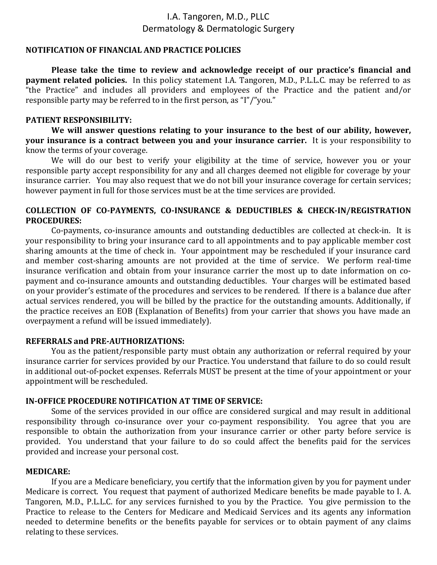# I.A. Tangoren, M.D., PLLC Dermatology & Dermatologic Surgery

# **NOTIFICATION OF FINANCIAL AND PRACTICE POLICIES**

**Please take the time to review and acknowledge receipt of our practice's financial and payment related policies.** In this policy statement I.A. Tangoren, M.D., P.L.L.C. may be referred to as "the Practice" and includes all providers and employees of the Practice and the patient and/or responsible party may be referred to in the first person, as "I"/"you."

## **PATIENT RESPONSIBILITY:**

**We will answer questions relating to your insurance to the best of our ability, however, your insurance is a contract between you and your insurance carrier.** It is your responsibility to know the terms of your coverage.

We will do our best to verify your eligibility at the time of service, however you or your responsible party accept responsibility for any and all charges deemed not eligible for coverage by your insurance carrier. You may also request that we do not bill your insurance coverage for certain services; however payment in full for those services must be at the time services are provided.

# **COLLECTION OF CO-PAYMENTS, CO-INSURANCE & DEDUCTIBLES & CHECK-IN/REGISTRATION PROCEDURES:**

Co-payments, co-insurance amounts and outstanding deductibles are collected at check-in. It is your responsibility to bring your insurance card to all appointments and to pay applicable member cost sharing amounts at the time of check in. Your appointment may be rescheduled if your insurance card and member cost-sharing amounts are not provided at the time of service. We perform real-time insurance verification and obtain from your insurance carrier the most up to date information on copayment and co-insurance amounts and outstanding deductibles. Your charges will be estimated based on your provider's estimate of the procedures and services to be rendered. If there is a balance due after actual services rendered, you will be billed by the practice for the outstanding amounts. Additionally, if the practice receives an EOB (Explanation of Benefits) from your carrier that shows you have made an overpayment a refund will be issued immediately).

# **REFERRALS and PRE-AUTHORIZATIONS:**

You as the patient/responsible party must obtain any authorization or referral required by your insurance carrier for services provided by our Practice. You understand that failure to do so could result in additional out-of-pocket expenses. Referrals MUST be present at the time of your appointment or your appointment will be rescheduled.

### **IN-OFFICE PROCEDURE NOTIFICATION AT TIME OF SERVICE:**

Some of the services provided in our office are considered surgical and may result in additional responsibility through co-insurance over your co-payment responsibility. You agree that you are responsible to obtain the authorization from your insurance carrier or other party before service is provided. You understand that your failure to do so could affect the benefits paid for the services provided and increase your personal cost.

### **MEDICARE:**

If you are a Medicare beneficiary, you certify that the information given by you for payment under Medicare is correct. You request that payment of authorized Medicare benefits be made payable to I. A. Tangoren, M.D., P.L.L.C. for any services furnished to you by the Practice. You give permission to the Practice to release to the Centers for Medicare and Medicaid Services and its agents any information needed to determine benefits or the benefits payable for services or to obtain payment of any claims relating to these services.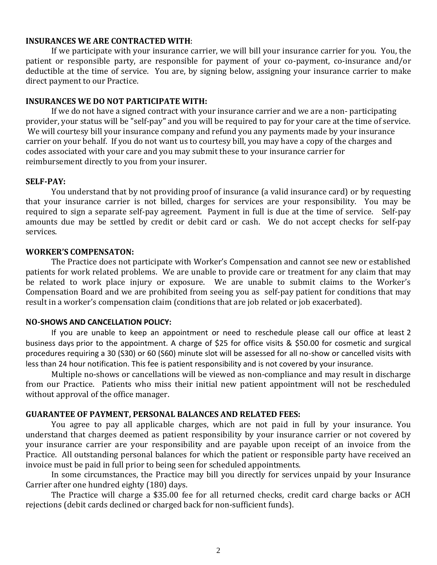#### **INSURANCES WE ARE CONTRACTED WITH**:

If we participate with your insurance carrier, we will bill your insurance carrier for you. You, the patient or responsible party, are responsible for payment of your co-payment, co-insurance and/or deductible at the time of service. You are, by signing below, assigning your insurance carrier to make direct payment to our Practice.

#### **INSURANCES WE DO NOT PARTICIPATE WITH:**

If we do not have a signed contract with your insurance carrier and we are a non- participating provider, your status will be "self-pay" and you will be required to pay for your care at the time of service. We will courtesy bill your insurance company and refund you any payments made by your insurance carrier on your behalf. If you do not want us to courtesy bill, you may have a copy of the charges and codes associated with your care and you may submit these to your insurance carrier for reimbursement directly to you from your insurer.

#### **SELF-PAY:**

You understand that by not providing proof of insurance (a valid insurance card) or by requesting that your insurance carrier is not billed, charges for services are your responsibility. You may be required to sign a separate self-pay agreement. Payment in full is due at the time of service. Self-pay amounts due may be settled by credit or debit card or cash. We do not accept checks for self-pay services.

#### **WORKER'S COMPENSATON:**

The Practice does not participate with Worker's Compensation and cannot see new or established patients for work related problems. We are unable to provide care or treatment for any claim that may be related to work place injury or exposure. We are unable to submit claims to the Worker's Compensation Board and we are prohibited from seeing you as self-pay patient for conditions that may result in a worker's compensation claim (conditions that are job related or job exacerbated).

### **NO-SHOWS AND CANCELLATION POLICY:**

If you are unable to keep an appointment or need to reschedule please call our office at least 2 business days prior to the appointment. A charge of \$25 for office visits & \$50.00 for cosmetic and surgical procedures requiring a 30 (S30) or 60 (S60) minute slot will be assessed for all no-show or cancelled visits with less than 24 hour notification. This fee is patient responsibility and is not covered by your insurance.

Multiple no-shows or cancellations will be viewed as non-compliance and may result in discharge from our Practice. Patients who miss their initial new patient appointment will not be rescheduled without approval of the office manager.

#### **GUARANTEE OF PAYMENT, PERSONAL BALANCES AND RELATED FEES:**

You agree to pay all applicable charges, which are not paid in full by your insurance. You understand that charges deemed as patient responsibility by your insurance carrier or not covered by your insurance carrier are your responsibility and are payable upon receipt of an invoice from the Practice. All outstanding personal balances for which the patient or responsible party have received an invoice must be paid in full prior to being seen for scheduled appointments.

In some circumstances, the Practice may bill you directly for services unpaid by your Insurance Carrier after one hundred eighty (180) days.

The Practice will charge a \$35.00 fee for all returned checks, credit card charge backs or ACH rejections (debit cards declined or charged back for non-sufficient funds).